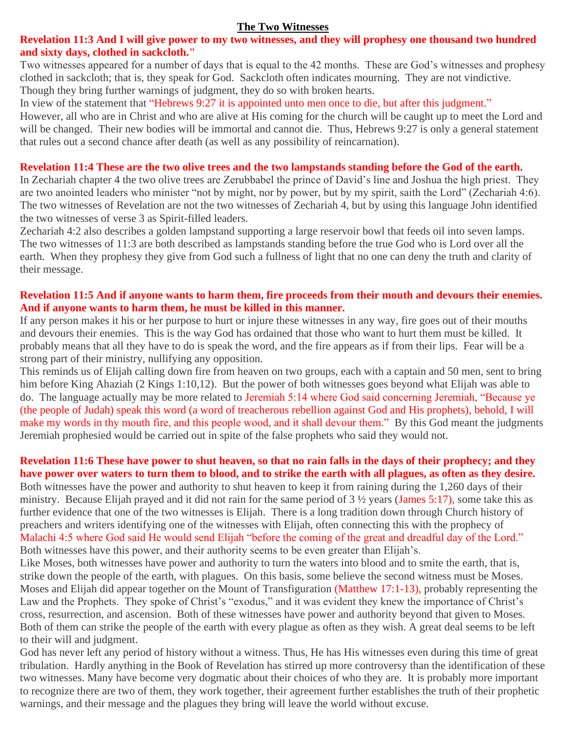## **Revelation 11:3 And I will give power to my two witnesses, and they will prophesy one thousand two hundred and sixty days, clothed in sackcloth."**

Two witnesses appeared for a number of days that is equal to the 42 months. These are God's witnesses and prophesy clothed in sackcloth; that is, they speak for God. Sackcloth often indicates mourning. They are not vindictive. Though they bring further warnings of judgment, they do so with broken hearts.

In view of the statement that "Hebrews 9:27 it is appointed unto men once to die, but after this judgment."

However, all who are in Christ and who are alive at His coming for the church will be caught up to meet the Lord and will be changed. Their new bodies will be immortal and cannot die. Thus, Hebrews 9:27 is only a general statement that rules out a second chance after death (as well as any possibility of reincarnation).

### **Revelation 11:4 These are the two olive trees and the two lampstands standing before the God of the earth.**

In Zechariah chapter 4 the two olive trees are Zerubbabel the prince of David's line and Joshua the high priest. They are two anointed leaders who minister "not by might, nor by power, but by my spirit, saith the Lord" (Zechariah 4:6). The two witnesses of Revelation are not the two witnesses of Zechariah 4, but by using this language John identified the two witnesses of verse 3 as Spirit-filled leaders.

Zechariah 4:2 also describes a golden lampstand supporting a large reservoir bowl that feeds oil into seven lamps. The two witnesses of 11:3 are both described as lampstands standing before the true God who is Lord over all the earth. When they prophesy they give from God such a fullness of light that no one can deny the truth and clarity of their message.

### **Revelation 11:5 And if anyone wants to harm them, fire proceeds from their mouth and devours their enemies. And if anyone wants to harm them, he must be killed in this manner.**

If any person makes it his or her purpose to hurt or injure these witnesses in any way, fire goes out of their mouths and devours their enemies. This is the way God has ordained that those who want to hurt them must be killed. It probably means that all they have to do is speak the word, and the fire appears as if from their lips. Fear will be a strong part of their ministry, nullifying any opposition.

This reminds us of Elijah calling down fire from heaven on two groups, each with a captain and 50 men, sent to bring him before King Ahaziah (2 Kings 1:10,12). But the power of both witnesses goes beyond what Elijah was able to do. The language actually may be more related to Jeremiah 5:14 where God said concerning Jeremiah, "Because ye (the people of Judah) speak this word (a word of treacherous rebellion against God and His prophets), behold, I will make my words in thy mouth fire, and this people wood, and it shall devour them." By this God meant the judgments Jeremiah prophesied would be carried out in spite of the false prophets who said they would not.

## **Revelation 11:6 These have power to shut heaven, so that no rain falls in the days of their prophecy; and they have power over waters to turn them to blood, and to strike the earth with all plagues, as often as they desire.**

Both witnesses have the power and authority to shut heaven to keep it from raining during the 1,260 days of their ministry. Because Elijah prayed and it did not rain for the same period of 3 ½ years (James 5:17), some take this as further evidence that one of the two witnesses is Elijah. There is a long tradition down through Church history of preachers and writers identifying one of the witnesses with Elijah, often connecting this with the prophecy of Malachi 4:5 where God said He would send Elijah "before the coming of the great and dreadful day of the Lord." Both witnesses have this power, and their authority seems to be even greater than Elijah's.

Like Moses, both witnesses have power and authority to turn the waters into blood and to smite the earth, that is, strike down the people of the earth, with plagues. On this basis, some believe the second witness must be Moses. Moses and Elijah did appear together on the Mount of Transfiguration (Matthew 17:1-13), probably representing the Law and the Prophets. They spoke of Christ's "exodus," and it was evident they knew the importance of Christ's cross, resurrection, and ascension. Both of these witnesses have power and authority beyond that given to Moses. Both of them can strike the people of the earth with every plague as often as they wish. A great deal seems to be left to their will and judgment.

God has never left any period of history without a witness. Thus, He has His witnesses even during this time of great tribulation. Hardly anything in the Book of Revelation has stirred up more controversy than the identification of these two witnesses. Many have become very dogmatic about their choices of who they are. It is probably more important to recognize there are two of them, they work together, their agreement further establishes the truth of their prophetic warnings, and their message and the plagues they bring will leave the world without excuse.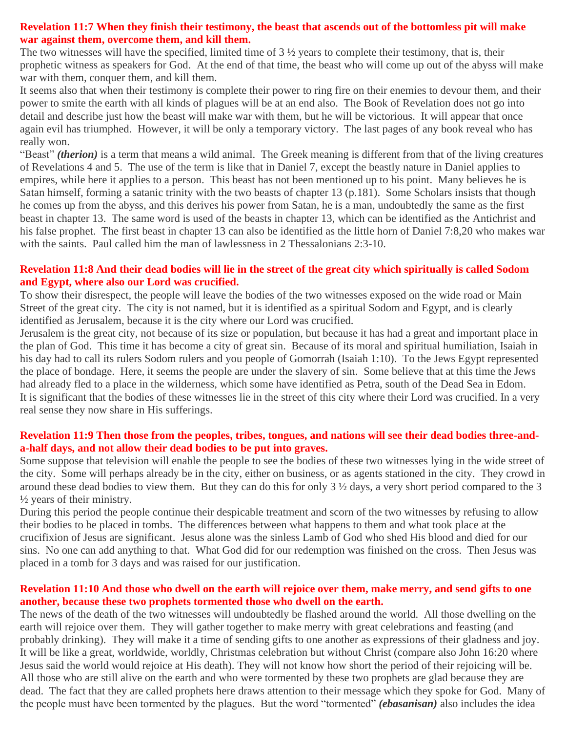### **Revelation 11:7 When they finish their testimony, the beast that ascends out of the bottomless pit will make war against them, overcome them, and kill them.**

The two witnesses will have the specified, limited time of  $3\frac{1}{2}$  years to complete their testimony, that is, their prophetic witness as speakers for God. At the end of that time, the beast who will come up out of the abyss will make war with them, conquer them, and kill them.

It seems also that when their testimony is complete their power to ring fire on their enemies to devour them, and their power to smite the earth with all kinds of plagues will be at an end also. The Book of Revelation does not go into detail and describe just how the beast will make war with them, but he will be victorious. It will appear that once again evil has triumphed. However, it will be only a temporary victory. The last pages of any book reveal who has really won.

"Beast" *(therion)* is a term that means a wild animal. The Greek meaning is different from that of the living creatures of Revelations 4 and 5. The use of the term is like that in Daniel 7, except the beastly nature in Daniel applies to empires, while here it applies to a person. This beast has not been mentioned up to his point. Many believes he is Satan himself, forming a satanic trinity with the two beasts of chapter 13 (p.181). Some Scholars insists that though he comes up from the abyss, and this derives his power from Satan, he is a man, undoubtedly the same as the first beast in chapter 13. The same word is used of the beasts in chapter 13, which can be identified as the Antichrist and his false prophet. The first beast in chapter 13 can also be identified as the little horn of Daniel 7:8,20 who makes war with the saints. Paul called him the man of lawlessness in 2 Thessalonians 2:3-10.

## **Revelation 11:8 And their dead bodies will lie in the street of the great city which spiritually is called Sodom and Egypt, where also our Lord was crucified.**

To show their disrespect, the people will leave the bodies of the two witnesses exposed on the wide road or Main Street of the great city. The city is not named, but it is identified as a spiritual Sodom and Egypt, and is clearly identified as Jerusalem, because it is the city where our Lord was crucified.

Jerusalem is the great city, not because of its size or population, but because it has had a great and important place in the plan of God. This time it has become a city of great sin. Because of its moral and spiritual humiliation, Isaiah in his day had to call its rulers Sodom rulers and you people of Gomorrah (Isaiah 1:10). To the Jews Egypt represented the place of bondage. Here, it seems the people are under the slavery of sin. Some believe that at this time the Jews had already fled to a place in the wilderness, which some have identified as Petra, south of the Dead Sea in Edom. It is significant that the bodies of these witnesses lie in the street of this city where their Lord was crucified. In a very real sense they now share in His sufferings.

## **Revelation 11:9 Then those from the peoples, tribes, tongues, and nations will see their dead bodies three-anda-half days, and not allow their dead bodies to be put into graves.**

Some suppose that television will enable the people to see the bodies of these two witnesses lying in the wide street of the city. Some will perhaps already be in the city, either on business, or as agents stationed in the city. They crowd in around these dead bodies to view them. But they can do this for only 3 ½ days, a very short period compared to the 3 ½ years of their ministry.

During this period the people continue their despicable treatment and scorn of the two witnesses by refusing to allow their bodies to be placed in tombs. The differences between what happens to them and what took place at the crucifixion of Jesus are significant. Jesus alone was the sinless Lamb of God who shed His blood and died for our sins. No one can add anything to that. What God did for our redemption was finished on the cross. Then Jesus was placed in a tomb for 3 days and was raised for our justification.

## **Revelation 11:10 And those who dwell on the earth will rejoice over them, make merry, and send gifts to one another, because these two prophets tormented those who dwell on the earth.**

The news of the death of the two witnesses will undoubtedly be flashed around the world. All those dwelling on the earth will rejoice over them. They will gather together to make merry with great celebrations and feasting (and probably drinking). They will make it a time of sending gifts to one another as expressions of their gladness and joy. It will be like a great, worldwide, worldly, Christmas celebration but without Christ (compare also John 16:20 where Jesus said the world would rejoice at His death). They will not know how short the period of their rejoicing will be. All those who are still alive on the earth and who were tormented by these two prophets are glad because they are dead. The fact that they are called prophets here draws attention to their message which they spoke for God. Many of the people must have been tormented by the plagues. But the word "tormented" *(ebasanisan)* also includes the idea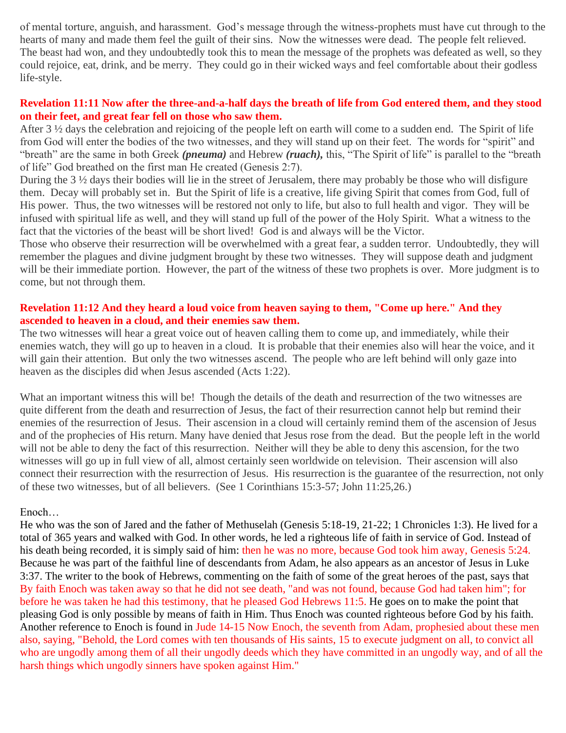of mental torture, anguish, and harassment. God's message through the witness-prophets must have cut through to the hearts of many and made them feel the guilt of their sins. Now the witnesses were dead. The people felt relieved. The beast had won, and they undoubtedly took this to mean the message of the prophets was defeated as well, so they could rejoice, eat, drink, and be merry. They could go in their wicked ways and feel comfortable about their godless life-style.

### **Revelation 11:11 Now after the three-and-a-half days the breath of life from God entered them, and they stood on their feet, and great fear fell on those who saw them.**

After 3 ½ days the celebration and rejoicing of the people left on earth will come to a sudden end. The Spirit of life from God will enter the bodies of the two witnesses, and they will stand up on their feet. The words for "spirit" and "breath" are the same in both Greek *(pneuma)* and Hebrew *(ruach),* this, "The Spirit of life" is parallel to the "breath of life" God breathed on the first man He created (Genesis 2:7).

During the  $3\frac{1}{2}$  days their bodies will lie in the street of Jerusalem, there may probably be those who will disfigure them. Decay will probably set in. But the Spirit of life is a creative, life giving Spirit that comes from God, full of His power. Thus, the two witnesses will be restored not only to life, but also to full health and vigor. They will be infused with spiritual life as well, and they will stand up full of the power of the Holy Spirit. What a witness to the fact that the victories of the beast will be short lived! God is and always will be the Victor.

Those who observe their resurrection will be overwhelmed with a great fear, a sudden terror. Undoubtedly, they will remember the plagues and divine judgment brought by these two witnesses. They will suppose death and judgment will be their immediate portion. However, the part of the witness of these two prophets is over. More judgment is to come, but not through them.

### **Revelation 11:12 And they heard a loud voice from heaven saying to them, "Come up here." And they ascended to heaven in a cloud, and their enemies saw them.**

The two witnesses will hear a great voice out of heaven calling them to come up, and immediately, while their enemies watch, they will go up to heaven in a cloud. It is probable that their enemies also will hear the voice, and it will gain their attention. But only the two witnesses ascend. The people who are left behind will only gaze into heaven as the disciples did when Jesus ascended (Acts 1:22).

What an important witness this will be! Though the details of the death and resurrection of the two witnesses are quite different from the death and resurrection of Jesus, the fact of their resurrection cannot help but remind their enemies of the resurrection of Jesus. Their ascension in a cloud will certainly remind them of the ascension of Jesus and of the prophecies of His return. Many have denied that Jesus rose from the dead. But the people left in the world will not be able to deny the fact of this resurrection. Neither will they be able to deny this ascension, for the two witnesses will go up in full view of all, almost certainly seen worldwide on television. Their ascension will also connect their resurrection with the resurrection of Jesus. His resurrection is the guarantee of the resurrection, not only of these two witnesses, but of all believers. (See 1 Corinthians 15:3-57; John 11:25,26.)

#### Enoch…

He who was the son of Jared and the father of Methuselah (Genesis 5:18-19, 21-22; 1 Chronicles 1:3). He lived for a total of 365 years and walked with God. In other words, he led a righteous life of faith in service of God. Instead of his death being recorded, it is simply said of him: then he was no more, because God took him away, Genesis 5:24. Because he was part of the faithful line of descendants from Adam, he also appears as an ancestor of Jesus in Luke 3:37. The writer to the book of Hebrews, commenting on the faith of some of the great heroes of the past, says that By faith Enoch was taken away so that he did not see death, "and was not found, because God had taken him"; for before he was taken he had this testimony, that he pleased God Hebrews 11:5. He goes on to make the point that pleasing God is only possible by means of faith in Him. Thus Enoch was counted righteous before God by his faith. Another reference to Enoch is found in Jude 14-15 Now Enoch, the seventh from Adam, prophesied about these men also, saying, "Behold, the Lord comes with ten thousands of His saints, 15 to execute judgment on all, to convict all who are ungodly among them of all their ungodly deeds which they have committed in an ungodly way, and of all the harsh things which ungodly sinners have spoken against Him."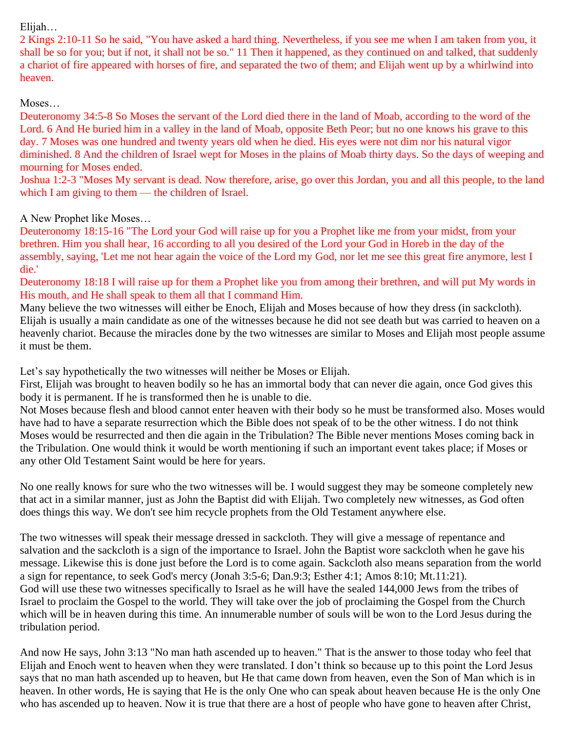## Elijah…

2 Kings 2:10-11 So he said, "You have asked a hard thing. Nevertheless, if you see me when I am taken from you, it shall be so for you; but if not, it shall not be so." 11 Then it happened, as they continued on and talked, that suddenly a chariot of fire appeared with horses of fire, and separated the two of them; and Elijah went up by a whirlwind into heaven.

## Moses…

Deuteronomy 34:5-8 So Moses the servant of the Lord died there in the land of Moab, according to the word of the Lord. 6 And He buried him in a valley in the land of Moab, opposite Beth Peor; but no one knows his grave to this day. 7 Moses was one hundred and twenty years old when he died. His eyes were not dim nor his natural vigor diminished. 8 And the children of Israel wept for Moses in the plains of Moab thirty days. So the days of weeping and mourning for Moses ended.

Joshua 1:2-3 "Moses My servant is dead. Now therefore, arise, go over this Jordan, you and all this people, to the land which I am giving to them — the children of Israel.

# A New Prophet like Moses…

Deuteronomy 18:15-16 "The Lord your God will raise up for you a Prophet like me from your midst, from your brethren. Him you shall hear, 16 according to all you desired of the Lord your God in Horeb in the day of the assembly, saying, 'Let me not hear again the voice of the Lord my God, nor let me see this great fire anymore, lest I die.'

Deuteronomy 18:18 I will raise up for them a Prophet like you from among their brethren, and will put My words in His mouth, and He shall speak to them all that I command Him.

Many believe the two witnesses will either be Enoch, Elijah and Moses because of how they dress (in sackcloth). Elijah is usually a main candidate as one of the witnesses because he did not see death but was carried to heaven on a heavenly chariot. Because the miracles done by the two witnesses are similar to Moses and Elijah most people assume it must be them.

Let's say hypothetically the two witnesses will neither be Moses or Elijah.

First, Elijah was brought to heaven bodily so he has an immortal body that can never die again, once God gives this body it is permanent. If he is transformed then he is unable to die.

Not Moses because flesh and blood cannot enter heaven with their body so he must be transformed also. Moses would have had to have a separate resurrection which the Bible does not speak of to be the other witness. I do not think Moses would be resurrected and then die again in the Tribulation? The Bible never mentions Moses coming back in the Tribulation. One would think it would be worth mentioning if such an important event takes place; if Moses or any other Old Testament Saint would be here for years.

No one really knows for sure who the two witnesses will be. I would suggest they may be someone completely new that act in a similar manner, just as John the Baptist did with Elijah. Two completely new witnesses, as God often does things this way. We don't see him recycle prophets from the Old Testament anywhere else.

The two witnesses will speak their message dressed in sackcloth. They will give a message of repentance and salvation and the sackcloth is a sign of the importance to Israel. John the Baptist wore sackcloth when he gave his message. Likewise this is done just before the Lord is to come again. Sackcloth also means separation from the world a sign for repentance, to seek God's mercy (Jonah 3:5-6; Dan.9:3; Esther 4:1; Amos 8:10; Mt.11:21). God will use these two witnesses specifically to Israel as he will have the sealed 144,000 Jews from the tribes of Israel to proclaim the Gospel to the world. They will take over the job of proclaiming the Gospel from the Church which will be in heaven during this time. An innumerable number of souls will be won to the Lord Jesus during the tribulation period.

And now He says, John 3:13 "No man hath ascended up to heaven." That is the answer to those today who feel that Elijah and Enoch went to heaven when they were translated. I don't think so because up to this point the Lord Jesus says that no man hath ascended up to heaven, but He that came down from heaven, even the Son of Man which is in heaven. In other words, He is saying that He is the only One who can speak about heaven because He is the only One who has ascended up to heaven. Now it is true that there are a host of people who have gone to heaven after Christ,